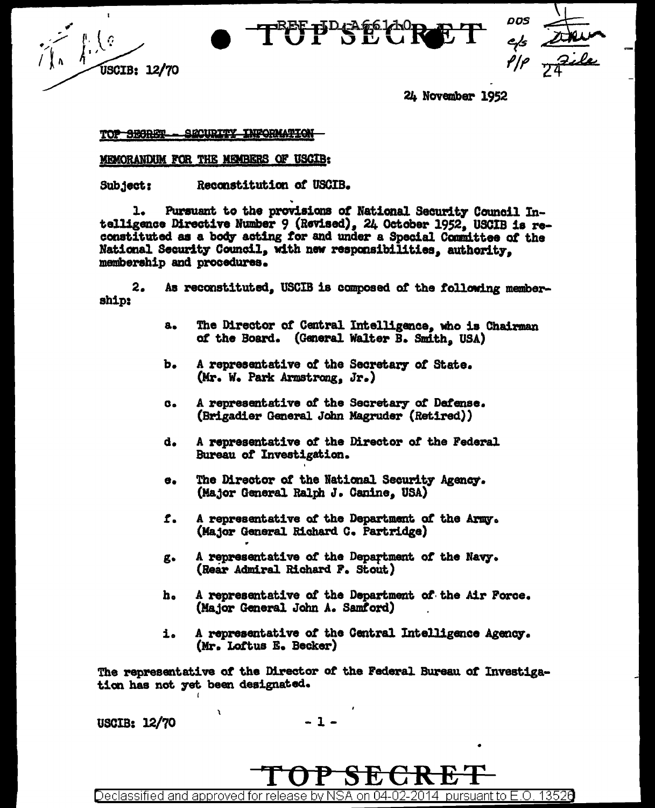ÚSCIB: 12/70

Dur<br>72ile

24 November 1952

SECURITY INFORMATION TOP SECRET

#### MEMORANDUM FOR THE MEMBERS OF USCIB:

Reconstitution of USCIB. **Subject:** 

Pursuant to the provisions of National Security Council Inı. telligence Directive Number 9 (Revised), 24 October 1952, USCIB is reconstituted as a body acting for and under a Special Committee of the National Security Council, with new responsibilities, authority. membership and procedures.

As reconstituted, USCIB is composed of the following member-2. ship:

- The Director of Central Intelligence, who is Chairman  $a<sub>o</sub>$ of the Board. (General Walter B. Smith, USA)
- ъ. A representative of the Secretary of State. (Mr. W. Park Armstrong, Jr.)
- A representative of the Secretary of Defense.  $\mathbf{c}$ . (Brigadier General John Magruder (Retired))
- A representative of the Director of the Federal d. Bureau of Investigation.
- The Director of the National Security Agency. e. (Major General Ralph J. Canine, USA)
- f. A representative of the Department of the Army. (Major General Richard C. Partridge)
- A representative of the Department of the Navy. g. (Rear Admiral Richard F. Stout)
- h. A representative of the Department of the Air Force. (Major General John A. Samford)
- A representative of the Central Intelligence Agency. i. (Mr. Loftus E. Becker)

The representative of the Director of the Federal Bureau of Investigation has not yet been designated.

**USCIB: 12/70** 

-1-

<u>Declassified and approved for release by NSA on 04-02-2014 pursuant to E.O. 13526</u>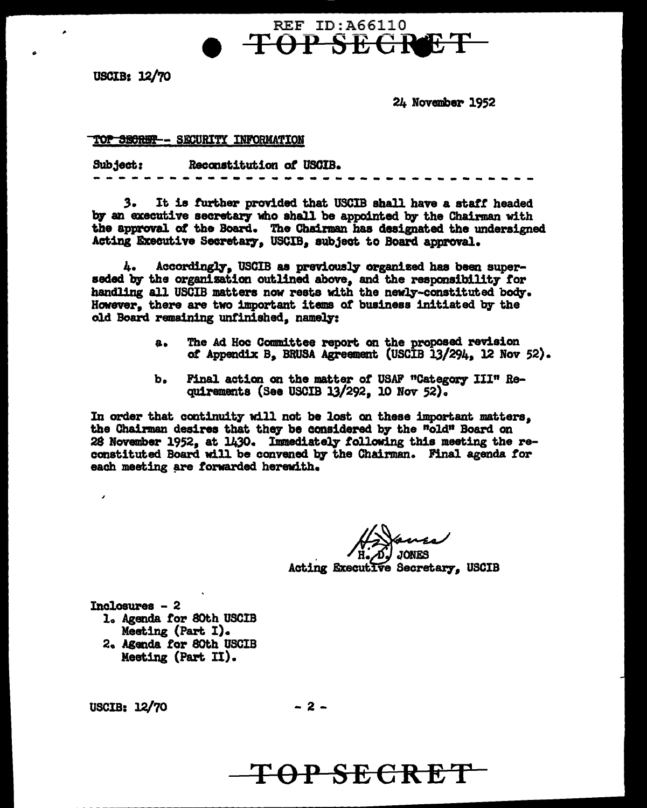USCIB: 12/70

..

24 November 1952

TOP SECRET - SECURITY INFORMATION

Subject: Reconstitution of USCIB. ~-~----------~-~-----~-------------

REF ID:A66110 TOP SECRE

*3.* It is tunber provided that USCIB shall have a atatt headed by an executive secretary who shall be appointed by the Chairman with the approval *ot* the Board. The Chairman has designated the undersigned Acting Executive Secretary. USCIB. subject to Board approval.

4. Accordingly, USCIB as previously organized has been superseded by the organization outlined above, and the responsibility for handling all USCIB matters now rests with the newly-constituted body. However, there are two important items of business initiated by the old Board remaining unfinished, namely:

- a. The Ad Hoc Committee report on the proposed revision *ot* Appendix B, BRUSA Agreement (USCIB JJ/294, 12 Nov 52).
- b. Final action on the matter of USAF "Category III" Requirements (See USCIB 13/292. 10 Nov  $52)$ .

In order that continuity will not be lost on these important matters, the Chairman desires that they be considered by the "old" Board on 28 November 1952, at 1430. Immediateq following this meeting the reconstituted Board will be convened by the Chairman. Final agenda for each meeting are forwarded herewith.

 $\frac{1}{2}$  JONES

Acting Executive Secretary. USCIB

Inclosurea - 2

- lo Agenda tor 80th USCIB Meeting (Part I).
- 2. Agenda for 80th USCIB Meeting (Part. II).

USCIB: l2./70

-2-

TOP SECRET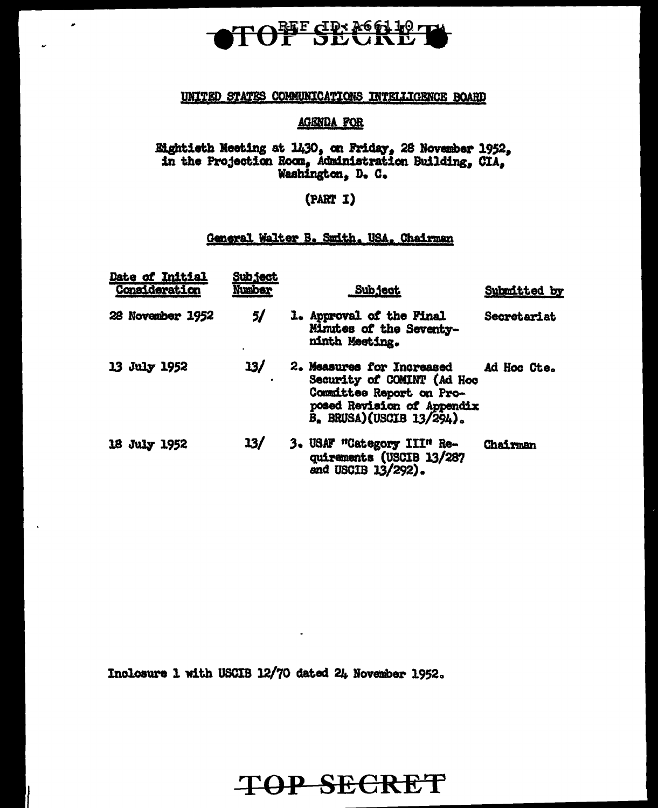## TOF SECRET

×

### UNITED STATES COMMUNICATIONS INTELLIGENCE BOARD

### **AGENDA FOR**

# Eightieth Meeting at 1430, on Friday, 28 November 1952,<br>in the Projection Room, Administration Building, CIA,<br>Washington, D. C.

### $(PART I)$

### General Walter B. Smith, USA, Chairman

and a state

**Contract Contract** 

| <u>Date of Initial</u><br>Consideration | <u>Sub ject</u><br>Number | <b>Subject</b>                                                                                                                                | Submitted by       |
|-----------------------------------------|---------------------------|-----------------------------------------------------------------------------------------------------------------------------------------------|--------------------|
| 28 November 1952                        | 5/                        | 1. Approval of the Final<br>Minutes of the Seventy-<br>ninth Meeting.                                                                         | <b>Secretariat</b> |
| 13 July 1952                            | 13/                       | 2. Measures for Increased<br>Security of COMINT (Ad Hoc<br>Committee Report on Pro-<br>posed Revision of Appendix<br>B. BRUSA)(USCIB 13/294). | Ad Hoc Cte.        |
| 18 July 1952                            | $13/$                     | 3. USAF "Category III" Re-<br>quirements (USCIB 13/287<br>and USCIB 13/292).                                                                  | Chairman           |

Inclosure 1 with USCIB 12/70 dated 24 November 1952.

 $\blacksquare$ 

### **TOP SECRET**